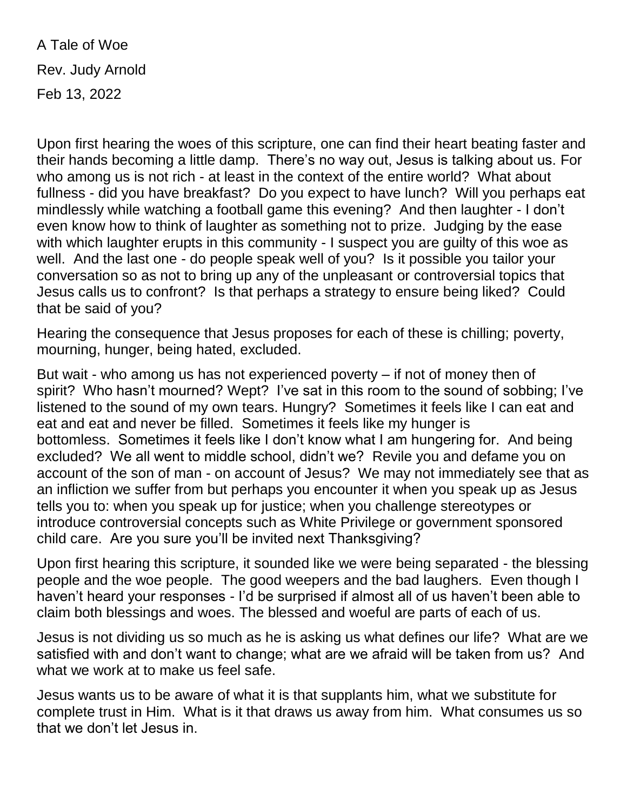A Tale of Woe Rev. Judy Arnold Feb 13, 2022

Upon first hearing the woes of this scripture, one can find their heart beating faster and their hands becoming a little damp. There's no way out, Jesus is talking about us. For who among us is not rich - at least in the context of the entire world? What about fullness - did you have breakfast? Do you expect to have lunch? Will you perhaps eat mindlessly while watching a football game this evening? And then laughter - I don't even know how to think of laughter as something not to prize. Judging by the ease with which laughter erupts in this community - I suspect you are guilty of this woe as well. And the last one - do people speak well of you? Is it possible you tailor your conversation so as not to bring up any of the unpleasant or controversial topics that Jesus calls us to confront? Is that perhaps a strategy to ensure being liked? Could that be said of you?

Hearing the consequence that Jesus proposes for each of these is chilling; poverty, mourning, hunger, being hated, excluded.

But wait - who among us has not experienced poverty – if not of money then of spirit? Who hasn't mourned? Wept? I've sat in this room to the sound of sobbing; I've listened to the sound of my own tears. Hungry? Sometimes it feels like I can eat and eat and eat and never be filled. Sometimes it feels like my hunger is bottomless. Sometimes it feels like I don't know what I am hungering for. And being excluded? We all went to middle school, didn't we? Revile you and defame you on account of the son of man - on account of Jesus? We may not immediately see that as an infliction we suffer from but perhaps you encounter it when you speak up as Jesus tells you to: when you speak up for justice; when you challenge stereotypes or introduce controversial concepts such as White Privilege or government sponsored child care. Are you sure you'll be invited next Thanksgiving?

Upon first hearing this scripture, it sounded like we were being separated - the blessing people and the woe people. The good weepers and the bad laughers. Even though I haven't heard your responses - I'd be surprised if almost all of us haven't been able to claim both blessings and woes. The blessed and woeful are parts of each of us.

Jesus is not dividing us so much as he is asking us what defines our life? What are we satisfied with and don't want to change; what are we afraid will be taken from us? And what we work at to make us feel safe.

Jesus wants us to be aware of what it is that supplants him, what we substitute for complete trust in Him. What is it that draws us away from him. What consumes us so that we don't let Jesus in.